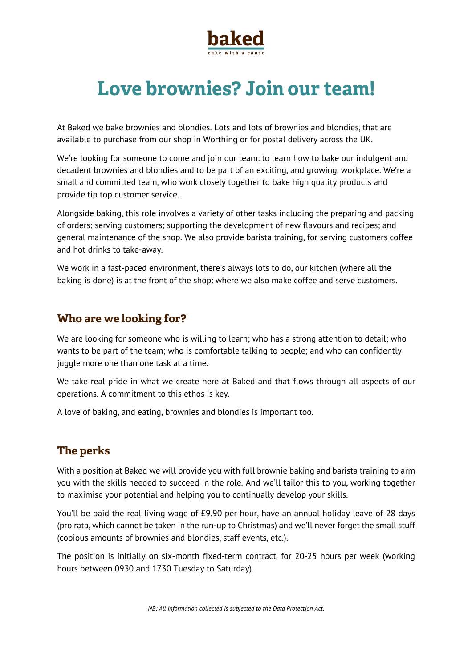

# **Love brownies? Join our team!**

At Baked we bake brownies and blondies. Lots and lots of brownies and blondies, that are available to purchase from our shop in Worthing or for postal delivery across the UK.

We're looking for someone to come and join our team: to learn how to bake our indulgent and decadent brownies and blondies and to be part of an exciting, and growing, workplace. We're a small and committed team, who work closely together to bake high quality products and provide tip top customer service.

Alongside baking, this role involves a variety of other tasks including the preparing and packing of orders; serving customers; supporting the development of new flavours and recipes; and general maintenance of the shop. We also provide barista training, for serving customers coffee and hot drinks to take-away.

We work in a fast-paced environment, there's always lots to do, our kitchen (where all the baking is done) is at the front of the shop: where we also make coffee and serve customers.

## **Who are we looking for?**

We are looking for someone who is willing to learn; who has a strong attention to detail; who wants to be part of the team; who is comfortable talking to people; and who can confidently juggle more one than one task at a time.

We take real pride in what we create here at Baked and that flows through all aspects of our operations. A commitment to this ethos is key.

A love of baking, and eating, brownies and blondies is important too.

## **The perks**

With a position at Baked we will provide you with full brownie baking and barista training to arm you with the skills needed to succeed in the role. And we'll tailor this to you, working together to maximise your potential and helping you to continually develop your skills.

You'll be paid the real living wage of £9.90 per hour, have an annual holiday leave of 28 days (pro rata, which cannot be taken in the run-up to Christmas) and we'll never forget the small stuff (copious amounts of brownies and blondies, staff events, etc.).

The position is initially on six-month fixed-term contract, for 20-25 hours per week (working hours between 0930 and 1730 Tuesday to Saturday).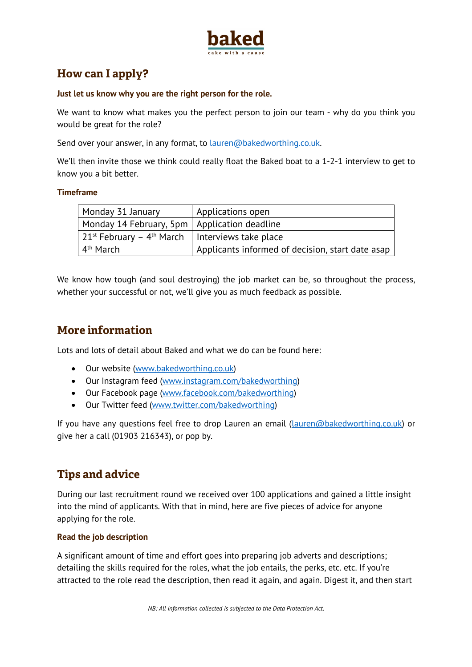

## **How can I apply?**

#### **Just let us know why you are the right person for the role.**

We want to know what makes you the perfect person to join our team - why do you think you would be great for the role?

Send over your answer, in any format, to **lauren@bakedworthing.co.uk.** 

We'll then invite those we think could really float the Baked boat to a 1-2-1 interview to get to know you a bit better.

#### **Timeframe**

| Monday 31 January                              | Applications open                                |
|------------------------------------------------|--------------------------------------------------|
| Monday 14 February, 5pm   Application deadline |                                                  |
| 21st February – 4 <sup>th</sup> March          | Interviews take place                            |
| 4 <sup>th</sup> March                          | Applicants informed of decision, start date asap |

We know how tough (and soul destroying) the job market can be, so throughout the process, whether your successful or not, we'll give you as much feedback as possible.

## **More information**

Lots and lots of detail about Baked and what we do can be found here:

- Our website (www.bakedworthing.co.uk)
- Our Instagram feed (www.instagram.com/bakedworthing)
- Our Facebook page (www.facebook.com/bakedworthing)
- Our Twitter feed (www.twitter.com/bakedworthing)

If you have any questions feel free to drop Lauren an email (Lauren@bakedworthing.co.uk) or give her a call (01903 216343), or pop by.

## **Tips and advice**

During our last recruitment round we received over 100 applications and gained a little insight into the mind of applicants. With that in mind, here are five pieces of advice for anyone applying for the role.

#### **Read the job description**

A significant amount of time and effort goes into preparing job adverts and descriptions; detailing the skills required for the roles, what the job entails, the perks, etc. etc. If you're attracted to the role read the description, then read it again, and again. Digest it, and then start